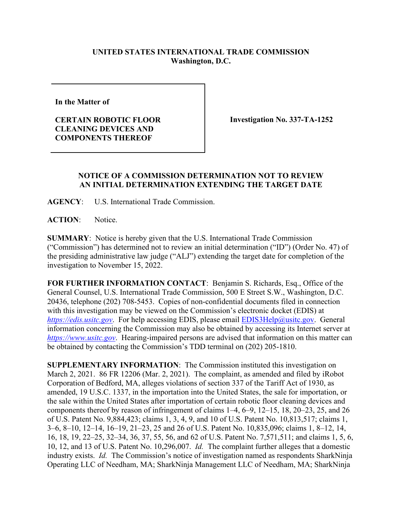## **UNITED STATES INTERNATIONAL TRADE COMMISSION Washington, D.C.**

**In the Matter of** 

**CERTAIN ROBOTIC FLOOR CLEANING DEVICES AND COMPONENTS THEREOF**

**Investigation No. 337-TA-1252**

## **NOTICE OF A COMMISSION DETERMINATION NOT TO REVIEW AN INITIAL DETERMINATION EXTENDING THE TARGET DATE**

**AGENCY**: U.S. International Trade Commission.

**ACTION**: Notice.

**SUMMARY**: Notice is hereby given that the U.S. International Trade Commission ("Commission") has determined not to review an initial determination ("ID") (Order No. 47) of the presiding administrative law judge ("ALJ") extending the target date for completion of the investigation to November 15, 2022.

**FOR FURTHER INFORMATION CONTACT**: Benjamin S. Richards, Esq., Office of the General Counsel, U.S. International Trade Commission, 500 E Street S.W., Washington, D.C. 20436, telephone (202) 708-5453. Copies of non-confidential documents filed in connection with this investigation may be viewed on the Commission's electronic docket (EDIS) at *[https://edis.usitc.gov](https://edis.usitc.gov/).* For help accessing EDIS, please email [EDIS3Help@usitc.gov.](mailto:EDIS3Help@usitc.gov) General information concerning the Commission may also be obtained by accessing its Internet server at *[https://www.usitc.gov](https://www.usitc.gov/)*. Hearing-impaired persons are advised that information on this matter can be obtained by contacting the Commission's TDD terminal on (202) 205-1810.

**SUPPLEMENTARY INFORMATION**: The Commission instituted this investigation on March 2, 2021. 86 FR 12206 (Mar. 2, 2021). The complaint, as amended and filed by iRobot Corporation of Bedford, MA, alleges violations of section 337 of the Tariff Act of 1930, as amended, 19 U.S.C. 1337, in the importation into the United States, the sale for importation, or the sale within the United States after importation of certain robotic floor cleaning devices and components thereof by reason of infringement of claims 1–4, 6–9, 12–15, 18, 20–23, 25, and 26 of U.S. Patent No. 9,884,423; claims 1, 3, 4, 9, and 10 of U.S. Patent No. 10,813,517; claims 1, 3–6, 8–10, 12–14, 16–19, 21–23, 25 and 26 of U.S. Patent No. 10,835,096; claims 1, 8–12, 14, 16, 18, 19, 22–25, 32–34, 36, 37, 55, 56, and 62 of U.S. Patent No. 7,571,511; and claims 1, 5, 6, 10, 12, and 13 of U.S. Patent No. 10,296,007. *Id.* The complaint further alleges that a domestic industry exists. *Id.* The Commission's notice of investigation named as respondents SharkNinja Operating LLC of Needham, MA; SharkNinja Management LLC of Needham, MA; SharkNinja